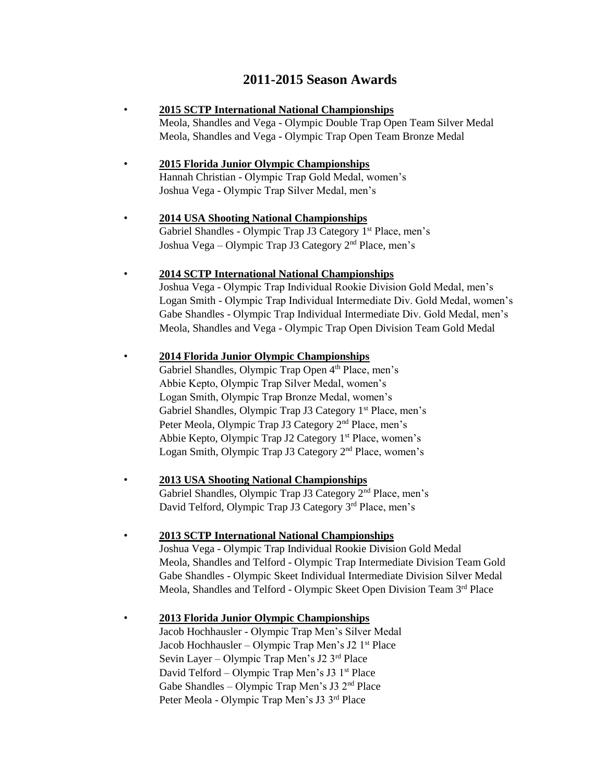## **2011-2015 Season Awards**

- **2015 SCTP International National Championships** Meola, Shandles and Vega - Olympic Double Trap Open Team Silver Medal Meola, Shandles and Vega - Olympic Trap Open Team Bronze Medal
- **2015 Florida Junior Olympic Championships** Hannah Christian - Olympic Trap Gold Medal, women's Joshua Vega - Olympic Trap Silver Medal, men's
- **2014 USA Shooting National Championships** Gabriel Shandles - Olympic Trap J3 Category 1<sup>st</sup> Place, men's Joshua Vega – Olympic Trap J3 Category 2nd Place, men's
- **2014 SCTP International National Championships**

Joshua Vega - Olympic Trap Individual Rookie Division Gold Medal, men's Logan Smith - Olympic Trap Individual Intermediate Div. Gold Medal, women's Gabe Shandles - Olympic Trap Individual Intermediate Div. Gold Medal, men's Meola, Shandles and Vega - Olympic Trap Open Division Team Gold Medal

• **2014 Florida Junior Olympic Championships**

Gabriel Shandles, Olympic Trap Open 4<sup>th</sup> Place, men's Abbie Kepto, Olympic Trap Silver Medal, women's Logan Smith, Olympic Trap Bronze Medal, women's Gabriel Shandles, Olympic Trap J3 Category 1<sup>st</sup> Place, men's Peter Meola, Olympic Trap J3 Category 2<sup>nd</sup> Place, men's Abbie Kepto, Olympic Trap J2 Category 1<sup>st</sup> Place, women's Logan Smith, Olympic Trap J3 Category 2nd Place, women's

• **2013 USA Shooting National Championships**

Gabriel Shandles, Olympic Trap J3 Category 2nd Place, men's David Telford, Olympic Trap J3 Category 3<sup>rd</sup> Place, men's

• **2013 SCTP International National Championships**

Joshua Vega - Olympic Trap Individual Rookie Division Gold Medal Meola, Shandles and Telford - Olympic Trap Intermediate Division Team Gold Gabe Shandles - Olympic Skeet Individual Intermediate Division Silver Medal Meola, Shandles and Telford - Olympic Skeet Open Division Team 3rd Place

• **2013 Florida Junior Olympic Championships** Jacob Hochhausler - Olympic Trap Men's Silver Medal Jacob Hochhausler – Olympic Trap Men's J2 1<sup>st</sup> Place Sevin Layer – Olympic Trap Men's J2 3rd Place

David Telford – Olympic Trap Men's J3 1<sup>st</sup> Place Gabe Shandles – Olympic Trap Men's J3  $2<sup>nd</sup>$  Place Peter Meola - Olympic Trap Men's J3 3rd Place